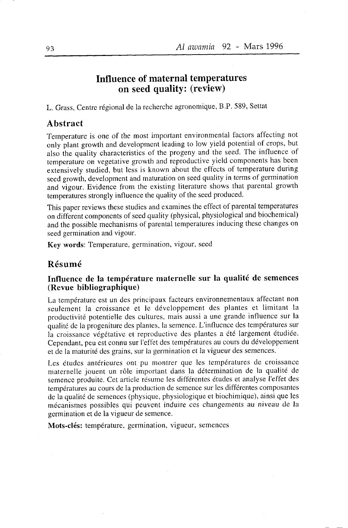# **Influence of maternal temperatures** on seed quality: (review)

L. Grass, Centre régional de la recherche agronomique, B.P. 589, Settat

### **Abstract**

Temperature is one of the most important environmental factors affecting not only plant growth and development leading to low yield potential of crops, but also the quality characteristics of the progeny and the seed. The influence of temperature on vegetative growth and reproductive yield components has been extensively studied, but less is known about the effects of temperature during seed growth, development and maturation on seed quality in terms of germination and vigour. Evidence from the existing literature shows that parental growth temperatures strongly influence the quality of the seed produced.

This paper reviews these studies and examines the effect of parental temperatures on different components of seed quality (physical, physiological and biochemical) and the possible mechanisms of parental temperatures inducing these changes on seed germination and vigour.

Key words: Temperature, germination, vigour, seed

#### Résumé

#### Influence de la température maternelle sur la qualité de semences (Revue bibliographique)

La température est un des principaux facteurs environnementaux affectant non seulement la croissance et le développement des plantes et limitant la productivité potentielle des cultures, mais aussi a une grande influence sur la qualité de la progeniture des plantes, la semence. L'influence des températures sur la croissance végétative et reproductive des plantes a été largement étudiée. Cependant, peu est connu sur l'effet des températures au cours du développement et de la maturité des grains, sur la germination et la vigueur des semences.

Les études antérieures ont pu montrer que les températures de croissance maternelle jouent un rôle important dans la détermination de la qualité de semence produite. Cet article résume les différentes études et analyse l'effet des températures au cours de la production de semence sur les différentes composantes de la qualité de semences (physique, physiologique et biochimique), ainsi que les mécanismes possibles qui peuvent induire ces changements au niveau de la germination et de la vigueur de semence.

Mots-clés: température, germination, vigueur, semences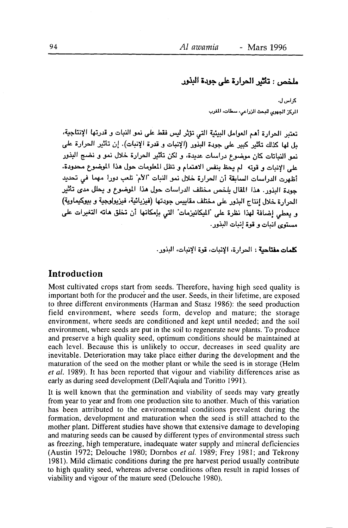# ملخص : تأثير الجرارة على جودة البذور

ک اس ل. الركز الجهرى للبحث الزراعى، سطات، المغرب

تعتبر الحرارة أهم العوامل البيئية التي تؤثر ليس فقط على نمو النبات و قدرتها الإنتاجية، يل لها كذلك تأثير كبير على جودة البذور (الإنبات و قدرة الإنبات). إن تأثير الحرارة على نمو النباتات كان موضوع دراسات عديدة، و لكن تأثير الحرارة خلال نمو و نضج البذور على الإنبات و قوته الم يحظ بنفس الاهتمام وانظل المعلومات حول هذا الموضوع محدودة. أظهرت الدراسات السابقة أن الحرارة خلال نمو النبات "الأم" تلعب دورا مهما في تحديد حودة البذور . هذا المقال بلخص مختلف الدراسات حول هذا الموضوع و يحلل مدى تأثير الحرارة خلال انتاج البذور على مختلف مقاييس جودتها (فيزيائية، فيزيولوجية و بيوكيماوية) و يعطي اضافة لهذا نظرة على "المكانيزمات" التي بإمكانها أن تخلق هاته التغيرات على مستوى انبات و قوة إنبات البذور.

كلمات مفتاحية : الحرارة، الإنبات، قوة الإنبات، البذور .

### **Introduction**

Most cultivated crops start from seeds. Therefore, having high seed quality is important both for the producer and the user. Seeds, in their lifetime, are exposed to three different environments (Harman and Stasz 1986): the seed production field environment, where seeds form, develop and mature; the storage environment, where seeds are conditioned and kept until needed; and the soil environment, where seeds are put in the soil to regenerate new plants. To produce and preserve a high quality seed, optimum conditions should be maintained at each level. Because this is unlikely to occur, decreases in seed quality are inevitable. Deterioration may take place either during the development and the maturation of the seed on the mother plant or while the seed is in storage (Helm et al. 1989). It has been reported that vigour and viability differences arise as early as during seed development (Dell'Aqiula and Toritto 1991).

It is well known that the germination and viability of seeds may vary greatly from year to year and from one production site to another. Much of this variation has been attributed to the environmental conditions prevalent during the formation, development and maturation when the seed is still attached to the mother plant. Different studies have shown that extensive damage to developing and maturing seeds can be caused by different types of environmental stress such as freezing, high temperature, inadequate water supply and mineral deficiencies (Austin 1972; Delouche 1980; Dornbos et al. 1989; Frey 1981; and Tekrony 1981). Mild climatic conditions during the pre harvest period usually contribute to high quality seed, whereas adverse conditions often result in rapid losses of viability and vigour of the mature seed (Delouche 1980).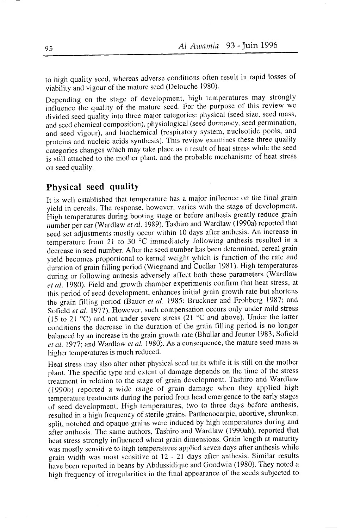to high quality seed, whereas adverse conditions often result in rapid losses of viability and vigour of the mature seed (Delouche 1980).

Depending on the stage of development, high temperatures may strongly influence the quality of the mature seed. For the purpose of this review we divided seed quality into three major categories: physical (seed size, seed mass, and seed chemical composition), physiological (seed dormancy, seed germination, and seed vigour), and biochemical (respiratory system, nucleotide pools, and proteins and nucleic acids synthesis). This review examines these three quality categories changes which may take place as a result of heat stress while the seed is still attached to the mother plant, and the probable mechanism: of heat stress on seed quality.

# Physical seed quality

It is well established that temperature has a major influence on the final grain vield in cereals. The response, however, varies with the stage of development. High temperatures during booting stage or before anthesis greatly reduce grain number per ear (Wardlaw et al. 1989). Tashiro and Wardlaw (1990a) reported that seed set adjustments mostly occur within 10 days after anthesis. An increase in temperature from 21 to 30 °C immediately following anthesis resulted in a decrease in seed number. After the seed number has been determined, cereal grain yield becomes proportional to kernel weight which is function of the rate and duration of grain filling period (Wiegnand and Cuellar 1981). High temperatures during or following anthesis adversely affect both these parameters (Wardlaw et al. 1980). Field and growth chamber experiments confirm that heat stress, at this period of seed development, enhances initial grain growth rate but shortens the grain filling period (Bauer et al. 1985: Bruckner and Frohberg 1987; and Sofield et al. 1977). However, such compensation occurs only under mild stress (15 to 21 °C) and not under severe stress (21 °C and above). Under the latter conditions the decrease in the duration of the grain filling period is no longer balanced by an increase in the grain growth rate (Bhullar and Jeuner 1983; Sofield et al. 1977; and Wardlaw et al. 1980). As a consequence, the mature seed mass at higher temperatures is much reduced.

Heat stress may also alter other physical seed traits while it is still on the mother plant. The specific type and extent of damage depends on the time of the stress treatment in relation to the stage of grain development. Tashiro and Wardlaw (1990b) reported a wide range of grain damage when they applied high temperature treatments during the period from head emergence to the early stages of seed development. High temperatures, two to three days before anthesis, resulted in a high frequency of sterile grains. Parthenocarpic, abortive, shrunken, split, notched and opaque grains were induced by high temperatures during and after anthesis. The same authors, Tashiro and Wardlaw (1990ab), reported that heat stress strongly influenced wheat grain dimensions. Grain length at maturity was mostly sensitive to high temperatures applied seven days after anthesis while grain width was most sensitive at 12 - 21 days after anthesis. Similar results have been reported in beans by Abdussidique and Goodwin (1980). They noted a high frequency of irregularities in the final appearance of the seeds subjected to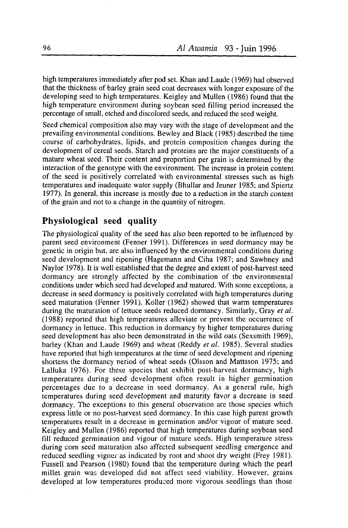high temperatures immediately after pod set. Khan and Laude (1969) had observed that the thickness of barley grain seed coat decreases with longer exposure of the developing seed to high temperatures. Keigley and Mullen (1986) found that the high temperature environment during soybean seed filling period increased the percentage of small, etched and discolored seeds, and reduced the seed weight.

Seed chemical composition also may vary with the stage of development and the prevailing environmental conditions. Bewley and Black (1985) described the time course of carbohydrates, lipids, and protein composition changes during the development of cereal seeds. Starch and proteins are the major constituents of a mature wheat seed. Their content and proportion per grain is determined by the interaction of the genotype with the environment. The increase in protein content of the seed is positively correlated with environmental stresses such as high temperatures and inadequate water supply (Bhullar and Jeuner 1985; and Spiertz 1977). In general, this increase is mostly due to a reduction in the starch content of the grain and not to a change in the quantity of nitrogen.

## Physiological seed quality

The physiological quality of the seed has also been reported to be influenced by parent seed environment (Fenner 1991). Differences in seed dormancy may be genetic in origin but, are also influenced by the environmental conditions during seed development and ripening (Hagemann and Ciha 1987; and Sawhney and Navlor 1978). It is well established that the degree and extent of post-harvest seed dormancy are strongly affected by the combination of the environmental conditions under which seed had developed and matured. With some exceptions, a decrease in seed dormancy is positively conelated with high temperatures during seed maturation (Fenner 1991). Koller (1962) showed that warm temperatures during the maturation of lettuce seeds reduced dormancy. Similarly, Gray et al. (1988) reported that high temperatures alleviate or prevent the occurrence of dormancy in lettuce. This reduction in dormancy by higher temperatures during seed development has also been demonstrated in the wild oats (Sexsmith 1969), barley (Khan and Laude 1969) and wheat (Reddy et al. 1985). Several studies have reported that high temperatures at the time of seed development and ripening shortens the dormancy neriod of wheat seeds (Olsson and Mattsson 1975; and Lalluka 1976). For these species that exhibit post-harvest dormancy, high temperatures during seed development often result in higher germination percentages due to a decrease in seed dormancy. As a general rule, high temperatures during seed development and maturity favor a decrease in seed dormancy. The exceptions to this general observation are those species which express little or no post-harvest seed dormancy. In this case high parent growth temperatures result in a decrease in germination and/or vigour of mature seed. Keigley and Mullen (1986) reported that high temperatures during soybean seed fill reduced germination and vigour of mature seeds. High temperature stress during corn seed maturation also affected subsequent seedling emergence and reduced seedling vigour as indicated by root and shoot dry weight (Frey 1981). Fussell and Pearson (1980) found that the temperature during which the pearl millet grain was developed did not affect seed viability. However, grains developed at low temperatures produced more vigorous seedlings than those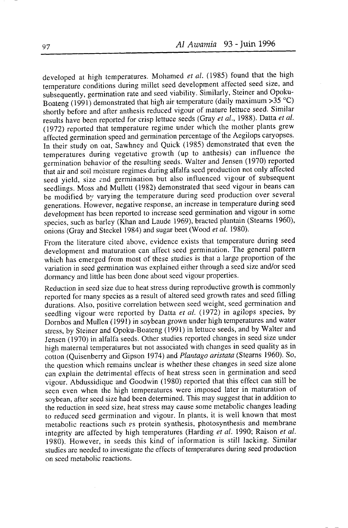developed at high temperatures. Mohamed et al. (1985) found that the high temperature conditions during millet seed development affected seed size, and subsequently, germination rate and seed viability. Similarly, Steiner and Opoku-Boateng (1991) demonstrated that high air temperature (daily maximum  $>35$  °C) shortly before and after anthesis reduced vigour of mature lettuce seed. Similar results have been reported for crisp lettuce seeds (Gray et al., 1988). Datta et al. (1972) reported that temperature regime under which the mother plants grew affected germination speed and germination percentage of the Aegilops carvopses. In their study on oat, Sawhney and Ouick (1985) demonstrated that even the temperatures during vegetative growth (up to anthesis) can influence the germination behavior of the resulting seeds. Walter and Jensen (1970) reported that air and soil moisture regimes during alfalfa seed production not only affected seed yield, size and germination but also influenced vigour of subsequent seedlings. Moss and Mullett (1982) demonstrated that seed vigour in beans can be modified by varying the temperature during seed production over several generations. However, negative response, an increase in temperature during seed development has been reported to increase seed germination and vigour in some species, such as barley (Khan and Laude 1969), bracted plantain (Stearns 1960). onions (Gray and Steckel 1984) and sugar beet (Wood et al. 1980).

From the literature cited above, evidence exists that temperature during seed development and maturation can affect seed germination. The general pattern which has emerged from most of these studies is that a large proportion of the variation in seed germination was explained either through a seed size and/or seed dormancy and little has been done about seed vigour properties.

Reduction in seed size due to heat stress during reproductive growth is commonly reported for many species as a result of altered seed growth rates and seed filling durations. Also, positive correlation between seed weight, seed germination and seedling vigour were reported by Datta et al. (1972) in agilops species, by Dornbos and Mullen (1991) in soybean grown under high temperatures and water stress, by Steiner and Opoku-Boateng (1991) in lettuce seeds, and by Walter and Jensen (1970) in alfalfa seeds. Other studies reported changes in seed size under high maternal temperatures but not associated with changes in seed quality as in cotton (Ouisenberry and Gipson 1974) and Plantago aristata (Stearns 1960). So, the question which remains unclear is whether these changes in seed size alone can explain the detrimental effects of heat stress seen in germination and seed vigour. Abdussidique and Goodwin (1980) reported that this effect can still be seen even when the high temperatures were imposed later in maturation of soybean, after seed size had been determined. This may suggest that in addition to the reduction in seed size, heat stress may cause some metabolic changes leading to reduced seed germination and vigour. In plants, it is well known that most metabolic reactions such as protein synthesis, photosynthesis and membrane integrity are affected by high temperatures (Harding et al. 1990; Raison et al. 1980). However, in seeds this kind of information is still lacking. Similar studies are needed to investigate the effects of temperatures during seed production on seed metabolic reactions.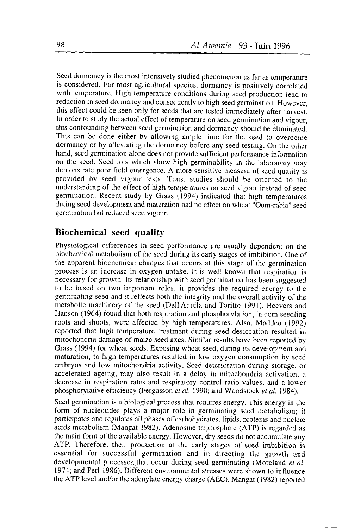seed dormancy is the most intensively studied phenomenon as far as temperature is considered. For most agricultural species, dormancy is positively correlated with temperature. High temperature conditions during seed production lead to reduction in seed dormancy and consequently to high seed germination. However, this effect could be seen only for seeds that are tested immediately after harvest. In order to study the actual effèct of temperature on seed germination and vigour, this confounding between seed germination and dormancy should be eliminated. This can be done either by allowing ample time for the seed to overcome dormancy or by alleviating the dormancy before any seed testing. On the other hand, seed germination alone does not provide sufficient performance information on the seed. Seed lots which show high germinability in the laboratory may demonstrate poor field emergence. A more sensitive measure of seed quality is provided by seed vigour tests. Thus, studies should be oriented to the understanding of the effect of high temperatures on seed vigour instead of seed germination. Recent study by Grass (1994) indicated that high temperatures during seed development and maturation had no effest on wheat "Oum-rabia" seed germination but reduced seed vigour.

### Biochemical seed quality

Physiological differences in seed performance are usually dependent on the biochemical metabolism of the seed during its early stages of imbibition. One of the apparent biochemical changes that occurs at this stage of the germination process is an increase in oxygen uptake. It is well known that respiration is necessary for growth. Its relationship with seed germination has been suggested to be based on two important roles: it provides the required energy to the germinating seed and it reflects both the integrity and the overall activity of the metabolic machinery of the seed (Dell'Aquila and Toritto l99l). Beevers and Hanson (1964) found that both respiration and phosphorylation, in corn seedling roots and shoots, were affected by high temperatures. Also, Madden (1992) reported that high temperature treatment during seed desiccation resulted in mitochondria damage of maize seed axes. Similar results have been reported by Grass (1994) for wheat seeds. Exposing wheat seed, during its development and maturation, to high temperatures resulted in low oxygen consumption by seed embryos and low mitochondria activity. Seed deterioration during storage, or accelerated ageing, may also result in a delay in mitochondria activation, a decrease in respiration rates and respiratory control ratio values, and a lower phosphorylative efficiency (Fergusson et al. 1990; and Woodstock et al. 1984).

Seed germination is a biological process that requires energy. This energy in the form of nucleotides plays a major role in germinating seed metabolism; it participates and regulates all phases of carbohydrates, lipids, proteins and nucleic acids metabolism (Mangat 1982). Adenosine triphosphate (ATP) is regarded as the main form of the available energy. However, dry seeds do not accumulate any ATP. Therefore, their production at the early stages of seed imbibition is essential for successful germination and in directing the growth and developmental processes, that occur during seed germinating (Moreland *et al.*) 1974; and Perl 1986). Differert environmental stresses were shown to influence the ATP level and/or the adenylate energy charge (AEC). Mangat (1982) reported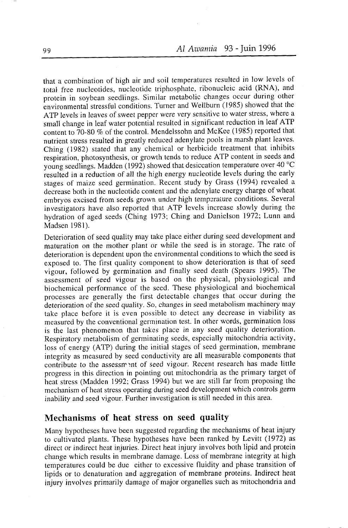that a combination of high air and soil temperatures resulted in low levels of total fiee nucleotides, nucleotide triphosphate, ribonucleic acid (RNA), and protein in soybean seedlings. Similar metabolic changes occur during other ènvironmental stressful conditions. Turner and Wellburn (1985) showed that the ATP levels in leaves of sweet pepper were very sensitive to water stress, where a small change in leaf water potential resulted in significant reduction in leaf ATP content to 70-80 % of the control. Mendelssohn and McKee (1985) reported that nutrient stress resulted in greatly reduced adenylate pools in marsh plant leaves. Ching (1982) stated that any chemical or herbicide treatment that inhibits respiration, photosynthesis, or growth tends to reduce ATP content in seeds and young seedlings. Madden (1992) showed that desiccation temperature over 40  $^{\circ}C$ resulted in a reduction of all the high energy nucleotide levels during the early stages of maize seed germination. Recent study by Grass (1994) revealed a decrease both in the nucleotide content and the adenylate energy charge of wheat embryos excised from seeds grown under high temperature conditions. Several investigators have also reported that ATP levels increase slowly during the hydration of aged seeds (Ching 1973; Ching and Danielson 1972; Lunn and Madsen l98l).

Deterioration of seed quality may take place either during seed development and maturation on the mother plant or while the seed is in storage. The rate of deterioration is dependent upon the environmental conditions to which the seed is exposed to. The first quality component to show deterioration is that of seed vigour, followed by germination and finally seed death (Spears 1995). The assessment of seed vigour is based on the physical, physiological and biochemical performance of the seed. These physiological and biochemical processes are generally the first detectable changes that occur during the deterioration of the seed quality. So, changes in seed metabolism machinery may take place before it is even possible to detect any decrease in viability as measured by the conventional germination test. In other words, germination loss is the last phenomenon that takes place in any seed quality deterioration. Respiratory metabolism of germinating seeds, especially mitochondria activity, loss of energy (ATP) during the initial stages of seed germination, membrane integrity as measured by seed conductivity are all measurable components that contribute to the assessment of seed vigour. Recent research has made little progress in this direction in pointing out mitochondria as the primary target of heat stress (Madden 1992; Grass 1994) but we are still far from proposing the mechanism of heat stress operating during seed development which controls germ inability and seed vigour. Further investigation is still needed in this area.

# Mechanisms of heat stress on seed quality

Many hypotheses have been suggested regarding the mechanisms of heat injury to cultivated plants. These hypotheses have been ranked by Levitt (1972) as direct or indirect heat injuries. Direct heat injury involves both lipid and protein change which results in membrane damage. Loss of membrane integrity at high temperatures could be due either to excessive fluidity and phase transition of lipids or to denaturation and aggregation of membrane proteins. Indirect heat injury involves primarily damage of major organelles such as rnitochondria and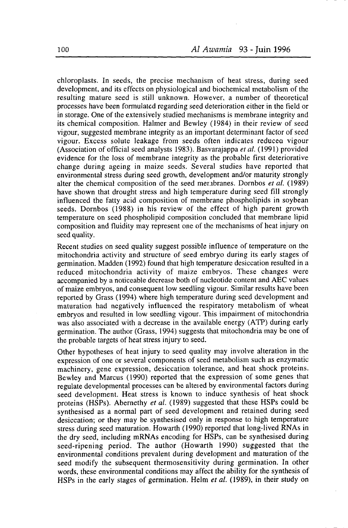chloroplasts. In seeds, the precise mechanism of heat stress, during seed development, and its effects on physiological and biochemical metabolism of the resulting mature seed is still unknown. However, a number of theoretical processes have been formulated regarding seed deterioration either in the field or in storage. One of the extensively studied mechanisms is membrane integrity and its chemical composition. Halmer and Bewley (1984) in their review of seed vigour, suggested membrane integrity as an important determinant factor of seed vigour. Excess solute leakage from seeds often indicates reduceq vigour (Association of official seed analysts 1983). Basvarajappa et al. (1991) provided evidence for the loss of membrane integrity as the probable first deteriorative change during ageing in maize seeds. Several studies have reported that environmental stress during seed growth, development and/or maturity strongly alter the chemical composition of the seed mer. branes. Dornbos *et al.* (1989) have shown that drought stress and high temperature during seed fill strongly influenced the fatty acid composition of membrane phospholipids in soybean seeds. Dornbos (1988) in his review of the effect of high parent growth temperature on seed phospholipid composition concluded that membrane lipid composition and fluidity may represent one of the mechanisms of heat injury on seed quality.

Recent studies on seed quality suggest possible influence of temperature on the mitochondria activity and structure of seed embryo during its early stages of germination. Madden (1992) found that high temperature desiccation resulted in a reduced mitochondria activity of maize embryos. These changes were accompanied by a noticeable decrease both of nucleotide content and AEC values of maize embryos, and consequent low seedling vigour. Similar results have been reported by Crass (1994) where high temperature during seed development and maturation had negatively influenced the respiratory metabolism of wheat embryos and resulted in low seedling vigour. This impairment of mitochondria was also associated with a decrease in the available energy (ATP) during early germination. The author (Grass, 1994) suggests that mitochondria may be one of the probable targets of heat stress injury to seed.

Other hypotheses of heat injury to seed quality may involve alteration in the expression of one or several components of seed metabolism such as enzymatic machinery, gene expression, desiccation tolerance, and heat shock proteins. Bewley and Marcus (1990) reported that the expression of some genes that regulate developmental processes can be altered by environmental factors during seed development. Heat stress is known to induce synthesis of heat shock proteins (HSPs). Abernethy et al. (1989) suggested that these HSPs could be synthesised as a normal part of seed development and retained during seed desiccation; or they may be synthesised only in response to high temperature stress during seed maturation. Howarth (1990) reported that long-lived RNAs in the dry seed, including mRNAs encoding for HSPs, can be synthesised during seed-ripening period. The author (Howarth 1990) suggested that the environmental conditions prevalent during development and maturation of the seed modify the subsequent thermosensitivity during germination. In other words, these environmental conditions may affect the ability for the synthesis of HSPs in the early stages of germination. Helm er al. (1989), in their study on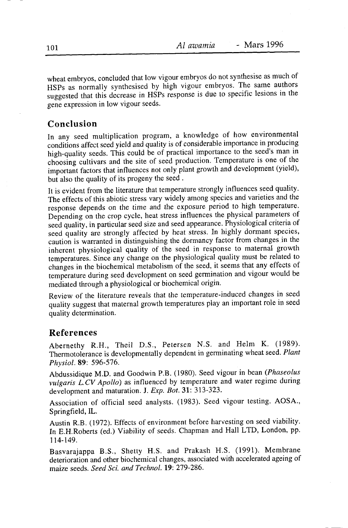wheat embryos, concluded that low vigour embryos do not synthesise as much of HSPs as normally synthesised by high vigour embryos. The same authors suggested that this decrease in HSPs response is due to specific lesions in the gene expression in low vigour seeds.

# Conclusion

In any seed multiplication program, a knowledge of how environmental conditions affect seed yield and quality is of considerable importance in producing high-quality seeds. This could be of practical importance to the seed's man in choosing cultivars and the site of seed production. Temperature is one of the important factors that influences not only plant growth and development (yield), but also the quality of its progeny the seed.

It is evident from the literature that temperature strongly influences seed quality. The effects of this abiotic stress vary widely among species and varieties and the response depends on the time and the exposure period to high temperature. Depending on the crop cycle, heat stress influences the physical parameters of seed quality, in particular seed size and seed appearance. Physiological criteria of seed quality are strongly affected by heat stress. In highly dormant species, caution is warranted in distinguishing the dormancy factor from changes in the inherent physiological quality of the seed in response to maternal growth temperatures. Since any change on the physiological quality must be related to changes in the biochemical metabolism of the seed, it seems that any effects of temperature during seed development on seed germination and vigour would be mediated through a physiological or biochemical origin.

Review of the literature reveals that the temperature-induced changes in seed quality suggest that maternal growth temperatures play an important role in seed quality determination.

#### **References**

Abernethy R.H., Theil D.S., Petersen N.S. and Helm K. (1989). Thermotolerance is developmentally dependent in germinating wheat seed. Plant Physiol. 89: 596-576.

Abdussidique M.D. and Goodwin P.B. (1980). Seed vigour in bean (Phaseolus vulgaris L.CV Apollo) as influenced by temperature and water regime during development and maturation. J. Exp. Bot. 31: 313-323.

Association of official seed analysts. (1983). Seed vigour testing. AOSA., Springfield, IL.

Austin R.B. (1972). Effects of environment before harvesting on seed viability. In E.H.Roberts (ed.) Viability of seeds. Chapman and Hall LTD, London, pp. 114-149.

Basvarajappa B.S., Shetty H.S. and Prakash H.S. (1991). Membrane deterioration and other biochemical changes, associated with accelerated ageing of maize seeds. Seed Sci. and Technol. 19: 279-286.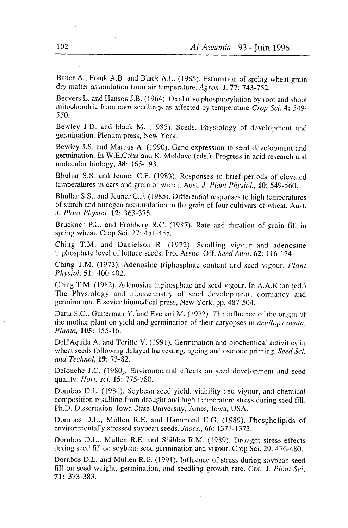Bauer A., Frank A.B. and Black A.L. (1985). Estimation of spring wheat grain dry matter assimilation from air temperature. Agron. J.  $77: 743-752$ .

Beevers L. and Hanson J.B. (1964). Oxidative phosphorylation by root and shoot mitochondria from corn seedlings as affected by temperature  $Crop$  Sci, 4: 549s50.

Bewley J.D. and black M. (1985). Sceds. Physiology of developmenr and germination. Plenum press, New York.

Bewley J.S. and Marcus A. (1990). Gene expression in seed development and germination. In W.E.Cohn and K. Moldave (eds.). Progress in acid research and molecular biology,  $38: 165-193$ .

Bhullar S.S. and Jeuner C.F. (1983). Responses to brief periods of elevared temperatures in ears and grain of wheat. Aust. J. Plant Physiol., 10: 549-560.

Bhullar S.S., and Jeuner C.F. (1985). Differential responses to high temperatures of starch and nitrogen accumulation in the grain of four cultivars of wheat. Aust. J. Plant Physiol, 12: 363-375.

Bruckner P.L. and Frohberg R.C. (1987). Rate and duration of grain fill in spring wheat. Crop Sci.  $27: 451-455$ .

Ching T.M. and Danielson R. (1972). Seedling vigour and adenosine triphosphate level of lettuce seeds. Pro. Assoc. Off. Seed Anal. 62: 116-124.

Ching T.M. (1973). Adenosine triphosphate content and seed vigour. Plant Physiol, Sl: 400-402.

Ching T.M. (1982). Adenosine triphosphate and seed vigour. In A.A.Khan (ed.) The Physiology and biochemistry of seed Jevelopment, dormancy and germination. Elsevier biomedical press, New York, pp. 487-504.

Datta S.C., Gutterman Y. and Evenari M. (1972). The influence of the origin of the mother plant on yield and germination of their caryopses in *aegilops ovata*. Planta,105: 155-16.

Dell'Aquila A. and Toritto V. (1991). Germination and biochemical activities in wheat seeds following delayed harvesting, ageing and osmotic priming. Seed Sci. and Technol. 19: 73-82.

Delouche J.C. (1980). Environmental effects on seed development and seed quality. *Hort. sci.* 15: 775-780.

Dornbos D.L. (1988). Soybean seed yield, viability and vigour, and chemical composition resulting from drought and high termerature stress during seed fill. Ph.D. Dissertation. Iowa Ctate University, Ames, lowa, USA.

Dornbos D.L., Mullcn R.E. and Harnrnond E.G. (1989). Phospholipids of environmentally stressed soybean seeds. Jaocs., 66: 1371-1373.

Dornbos D.L., Mullen R.E. and Shibles R.M. (1989). Drought stress cffects during seed fill on soybean seed germination and vigour. Crop Sci. 29: 476-480.

Dornbos D.L. and Mullen R.E. (1991). Influence of stress during soybean seed fill on seed weight, germination, and seedling growth rate. Can. J. Plant Sci, 7l: 373-383.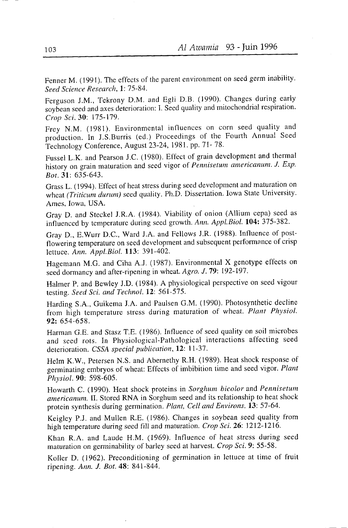Fenner M. (1991). The effects of the parent environment on seed germ inability. Seed Science Research, 1: 75-84.

Ferguson J.M., Tekrony D.M. and Egli D.B. (1990). Changes during early soybean seed and axes deterioration: I. Seed quality and mitochondrial respiration. Crop Sci, 30: 175-179.

Frey N.M. (1981). Environmental influences on corn seed quality and production. In J.S.Burris (ed.) Proceedings of the Fourth Annual Seed Technology Conference, August 23-24, 1981. pp. 71-78.

Fussel L.K. and Pearson J.C. (1980). Effect of grain development and thermal history on grain maturation and seed vigor of Pennisetum americanum. J. Exp. Bot. 31: 635-643.

Grass L. (1994). Effect of heat stress during seed development and maturation on wheat (Triticum durum) seed quality. Ph.D. Dissertation. Iowa State University. Ames. Iowa, USA.

Gray D. and Steckel J.R.A. (1984). Viability of onion (Allium cepa) seed as influenced by temperature during seed growth. Ann. Appl.Biol. 104: 375-382.

Gray D., E.Wurr D.C., Ward J.A. and Fellows J.R. (1988). Influence of postflowering temperature on seed development and subsequent performance of crisp lettuce. Ann. Appl.Biol. 113: 391-402.

Hagemann M.G. and Ciha A.J. (1987). Environmental X genotype effects on seed dormancy and after-ripening in wheat. Agro. J. 79: 192-197.

Halmer P. and Bewley J.D. (1984). A physiological perspective on seed vigour testing. Seed Sci. and Technol. 12: 561-575.

Harding S.A., Guikema J.A. and Paulsen G.M. (1990). Photosynthetic decline from high temperature stress during maturation of wheat. Plant Physiol.  $92:654-658.$ 

Harman G.E. and Stasz T.E. (1986). Influence of seed quality on soil microbes and seed rots. In Physiological-Pathological interactions affecting seed deterioration. CSSA special publication, 12: 11-37.

Helm K.W., Petersen N.S. and Abernethy R.H. (1989). Heat shock response of germinating embryos of wheat: Effects of imbibition time and seed vigor. Plant Physiol. 90: 598-605.

Howarth C. (1990). Heat shock proteins in Sorghum bicolor and Pennisetum americanum. II. Stored RNA in Sorghum seed and its relationship to heat shock protein synthesis during germination. Plant, Cell and Environs. 13: 57-64.

Keigley P.J. and Mullen R.E. (1986). Changes in soybean seed quality from high temperature during seed fill and maturation. Crop Sci. 26: 1212-1216.

Khan R.A. and Laude H.M. (1969). Influence of heat stress during seed maturation on germinability of barley seed at harvest. Crop Sci. 9: 55-58.

Koller D. (1962). Preconditioning of germination in lettuce at time of fruit ripening. Ann. J. Bot. 48: 841-844.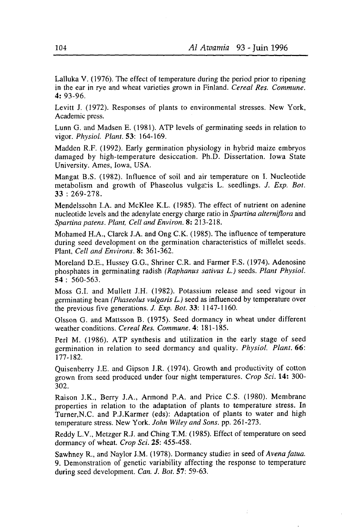Lalluka V. (1976). The effect of temperature during the period prior to ripening in the ear in rye and wheat varieties grown in Finland. Cereal Res. Commune. 4:93-96.

Levitt J. (1972). Responses of plants to environmental stresses. New York, Academic press.

Lunn G. and Madsen E. (1981). ATP levels of germinating seeds in relation to vigor. Physlol. Plant. 53: 164-169.

Madden R.F. (1992). Early germination physiology in hybrid maize embryos damaged by high-temperature desiccation. Ph.D. Dissertation. Iowa State Universify. Ames, Iowa, USA.

Mangat B.S. (1982). Influence of soil and air temperature on I. Nucleotide metabolism and growth of Phaseolus vulgaris L. seedlings. J. Exp. Bot. 33 :269-278.

Mendelssohn I.A. and McKlee K.L. (1985). The effect of nutrient on adenine nucleotide levels and the adenylate energy charge ratio in Spartina alterniflora and Spartina patens. Plant, Cell and Environ. 8: 213-218.

Mohamed H.A., Clarck J.A. and Ong C.K. (1985). The influence of temperature during seed development on the germination characteristics of millelet seeds. Plant, Cell and Environs. 8: 361-362.

Moreland D.E., Hussey G.G., Shriner C.R. and Farmer F.S. (1974). Adenosine phosphates in germinating radish (Raphanus sativus L.) seeds. Plant Physiol.  $54 : 560 - 563$ .

Moss G.I. and Mullett J.H. (1982). Potassium release and seed vigour in germinating bean (Phaseolus vulgaris L.) seed as influenced by temperature over the previous five generations. *J. Exp. Bot.* 33: 1147-1160.

Olsson G. and Mattsson B. (1975). Seed dormancy in wheat under different weather conditions. Cereal Res. Commune.4: 181-185.

Perl M. (1986). ATP synthesis and utilization in the early stage of seed germination in relation to seed dormancy and quality. Physiol. Plant. 66: 177-182.

Quisenberry J.E. and Gipson J.R. (1974). Growth and productivity of cotton grown from seed produced under four night temperatures. Crop Sci. 14: 300-302.

Raison J.K., Berry J.A., Armond P.A. and Price C.S. (1980). Membrane properties in relation to the adaptation of plants to temperature stress. In Turner,N.C. and P.J.Karmer (eds): Adaptation of plants to water and high temperature stress. New York. John Wiley and Sons. pp. 261-273.

Reddy L.V., Metzger R.J. and Ching T.M. (1985). Effect of temperature on seed dormancy of wheat. Crop Sci. 25: 455-458.

Sawhney R., and Naylor J.M. (1978). Dormancy studies in seed of Avena fatua. 9. Demonstration of genetic variability affecting the response to temperature during seed development. Can. J. Bot.  $57:59-63$ .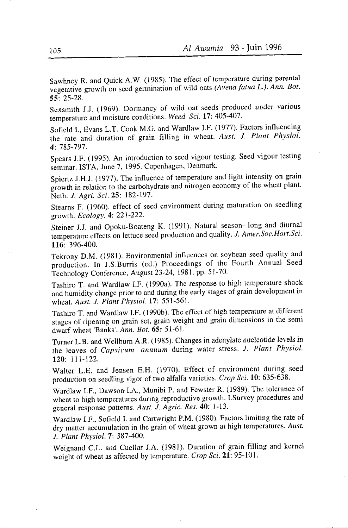Sawhney R. and Quick A.W. (1985). The effect of temperature during parental vegetative growth on seed germination of wild oats (Avena fatua L.). Ann. Bot. 55:25-28.

sexsmith J.J. (1969). Dormancy of wild oat seeds produced under various temperature and moisture conditions. Weed Sci. 17: 405-407.

Sofield I., Evans L.T. Cook M.G. and Wardlaw I.F. (1977). Factors influencing the rate and duration of grain filling in wheat, Aust. J. Plant Physiol. 4: 785-797.

Spears J.F. (1995). An introduction to seed vigour testing. Seed vigour testing seminar. ISTA, June 7, 1995. Copenhagen, Denmark.

Spiertz J.H.J. (1977). The influence of temperature and light intensity on grain giowth in relation to the carbohydrate and nitrogen economy of the wheat plant. Neth. J. Agri. Sci. 25: 182-197.

Stearns F. (1960). etfect of seed environment during maturation on seedling growth. Ecology. 4: 221-222.

Steiner J.J. and Opoku-Boateng K. (1991). Natural season- long and diurnal temperature effects on lettuce seed production and quality. J. Amer.Soc.Hort.Sci.  $116: 396-400.$ 

Tekrony D.M. (1981). Environmental influences on soybean seed quality and production. In J.S.Burris (ed.) Proceedings of the Fourth Annual Seed Technology Conference, August 23-24, 1981. pp. 51-70.

Tashiro T. and Wardlaw I.F. (1990a). The response to high temperature shock and humidity change prior to and during the early stages of grain development in wheat. Aust. J. Plant Physiol. 17: 551-561.

Tashiro T. and Wardlaw I.F. (1990b). The effect of high temperature at different stages of ripening on grain set, grain weight and grain dimensions in the semi dwarf wheat 'Banks'. Ann. Bot. 65: 51-61.

Turner L.B. and Wellburn A.R. (1985). Changes in adenylate nucleotide levels in the leaves of Capsicum annuum during water stress. J. Plant Physiol. l2O: lll-122.

Walter L.E. and Jensen E.H. (1970). Effect of environment during seed production on seedling vigor of two alfalfa varieties. Crop Sci. 10: 635-638.

Wardlaw I.F., Dawson I.A., Munibi P. and Fewster R. (1989). The tolerance of wheat to high temperatures during reproductive growth. I.Survey procedures and general response patterns. Aust. J. Agric. Res. 40: 1-13.

wardlaw I.F., Sofield I. and cartwright P.M. (1980). Factors limiting the rate of dry matter accumulation in the grain of wheat grown at high temperatures. Aust. J. Plant Physiol. 7: 387-400.

weignand c.L. and cuellar J.A. (1981). Duration of grain filling and kernel weight of wheat as affected by temperature. Crop Sci. 21: 95-101.